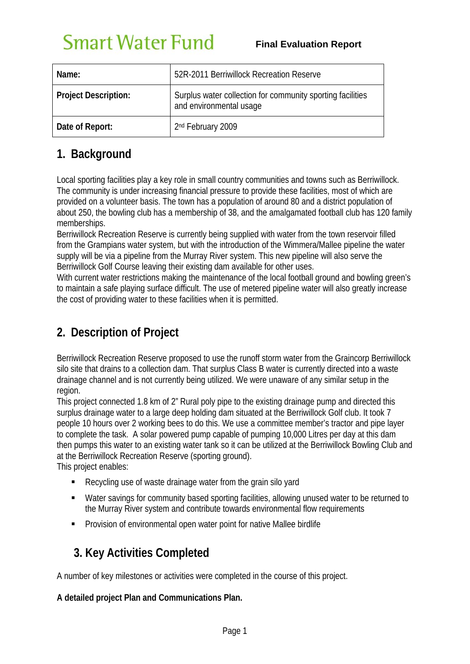# **Smart Water Fund**

| Name:                | 52R-2011 Berriwillock Recreation Reserve                                              |
|----------------------|---------------------------------------------------------------------------------------|
| Project Description: | Surplus water collection for community sporting facilities<br>and environmental usage |
| Date of Report:      | 2nd February 2009                                                                     |

## **1. Background**

Local sporting facilities play a key role in small country communities and towns such as Berriwillock. The community is under increasing financial pressure to provide these facilities, most of which are provided on a volunteer basis. The town has a population of around 80 and a district population of about 250, the bowling club has a membership of 38, and the amalgamated football club has 120 family memberships.

Berriwillock Recreation Reserve is currently being supplied with water from the town reservoir filled from the Grampians water system, but with the introduction of the Wimmera/Mallee pipeline the water supply will be via a pipeline from the Murray River system. This new pipeline will also serve the Berriwillock Golf Course leaving their existing dam available for other uses.

With current water restrictions making the maintenance of the local football ground and bowling green's to maintain a safe playing surface difficult. The use of metered pipeline water will also greatly increase the cost of providing water to these facilities when it is permitted.

# **2. Description of Project**

Berriwillock Recreation Reserve proposed to use the runoff storm water from the Graincorp Berriwillock silo site that drains to a collection dam. That surplus Class B water is currently directed into a waste drainage channel and is not currently being utilized. We were unaware of any similar setup in the region.

This project connected 1.8 km of 2" Rural poly pipe to the existing drainage pump and directed this surplus drainage water to a large deep holding dam situated at the Berriwillock Golf club. It took 7 people 10 hours over 2 working bees to do this. We use a committee member's tractor and pipe layer to complete the task. A solar powered pump capable of pumping 10,000 Litres per day at this dam then pumps this water to an existing water tank so it can be utilized at the Berriwillock Bowling Club and at the Berriwillock Recreation Reserve (sporting ground).

This project enables:

- Recycling use of waste drainage water from the grain silo yard
- Water savings for community based sporting facilities, allowing unused water to be returned to the Murray River system and contribute towards environmental flow requirements
- **Provision of environmental open water point for native Mallee birdlife**

# **3. Key Activities Completed**

A number of key milestones or activities were completed in the course of this project.

#### **A detailed project Plan and Communications Plan.**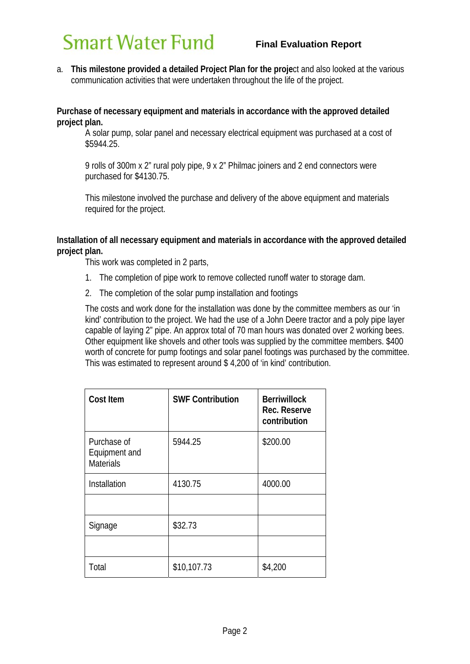# **Smart Water Fund**

a. **This milestone provided a detailed Project Plan for the proje**ct and also looked at the various communication activities that were undertaken throughout the life of the project.

#### **Purchase of necessary equipment and materials in accordance with the approved detailed project plan.**

A solar pump, solar panel and necessary electrical equipment was purchased at a cost of \$5944.25.

9 rolls of 300m x 2" rural poly pipe, 9 x 2" Philmac joiners and 2 end connectors were purchased for \$4130.75.

This milestone involved the purchase and delivery of the above equipment and materials required for the project.

#### **Installation of all necessary equipment and materials in accordance with the approved detailed project plan.**

This work was completed in 2 parts,

- 1. The completion of pipe work to remove collected runoff water to storage dam.
- 2. The completion of the solar pump installation and footings

The costs and work done for the installation was done by the committee members as our 'in kind' contribution to the project. We had the use of a John Deere tractor and a poly pipe layer capable of laying 2" pipe. An approx total of 70 man hours was donated over 2 working bees. Other equipment like shovels and other tools was supplied by the committee members. \$400 worth of concrete for pump footings and solar panel footings was purchased by the committee. This was estimated to represent around \$ 4,200 of 'in kind' contribution.

| <b>Cost Item</b>                                 | <b>SWF Contribution</b> | <b>Berriwillock</b><br>Rec. Reserve<br>contribution |
|--------------------------------------------------|-------------------------|-----------------------------------------------------|
| Purchase of<br>Equipment and<br><b>Materials</b> | 5944.25                 | \$200.00                                            |
| Installation                                     | 4130.75                 | 4000.00                                             |
|                                                  |                         |                                                     |
| Signage                                          | \$32.73                 |                                                     |
|                                                  |                         |                                                     |
| Total                                            | \$10,107.73             | \$4,200                                             |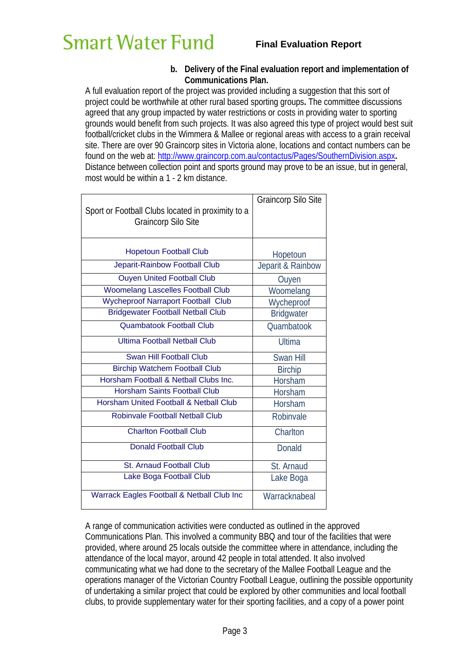#### **b. Delivery of the Final evaluation report and implementation of Communications Plan.**

A full evaluation report of the project was provided including a suggestion that this sort of project could be worthwhile at other rural based sporting groups**.** The committee discussions agreed that any group impacted by water restrictions or costs in providing water to sporting grounds would benefit from such projects. It was also agreed this type of project would best suit football/cricket clubs in the Wimmera & Mallee or regional areas with access to a grain receival site. There are over 90 Graincorp sites in Victoria alone, locations and contact numbers can be found on the web at: http://www.graincorp.com.au/contactus/Pages/SouthernDivision.aspx**.**  Distance between collection point and sports ground may prove to be an issue, but in general, most would be within a 1 - 2 km distance.

| Sport or Football Clubs located in proximity to a<br><b>Graincorp Silo Site</b> | <b>Graincorp Silo Site</b> |
|---------------------------------------------------------------------------------|----------------------------|
| <b>Hopetoun Football Club</b>                                                   | Hopetoun                   |
| Jeparit-Rainbow Football Club                                                   | Jeparit & Rainbow          |
| <b>Ouyen United Football Club</b>                                               | Ouyen                      |
| <b>Woomelang Lascelles Football Club</b>                                        | Woomelang                  |
| <b>Wycheproof Narraport Football Club</b>                                       | Wycheproof                 |
| <b>Bridgewater Football Netball Club</b>                                        | <b>Bridgwater</b>          |
| <b>Quambatook Football Club</b>                                                 | <b>Quambatook</b>          |
| <b>Ultima Football Netball Club</b>                                             | <b>Ultima</b>              |
| <b>Swan Hill Football Club</b>                                                  | Swan Hill                  |
| <b>Birchip Watchem Football Club</b>                                            | <b>Birchip</b>             |
| Horsham Football & Netball Clubs Inc.                                           | Horsham                    |
| <b>Horsham Saints Football Club</b>                                             | Horsham                    |
| <b>Horsham United Football &amp; Netball Club</b>                               | Horsham                    |
| <b>Robinvale Football Netball Club</b>                                          | Robinvale                  |
| <b>Charlton Football Club</b>                                                   | Charlton                   |
| <b>Donald Football Club</b>                                                     | Donald                     |
| St. Arnaud Football Club                                                        | St. Arnaud                 |
| Lake Boga Football Club                                                         | Lake Boga                  |
| Warrack Eagles Football & Netball Club Inc                                      | Warracknabeal              |

A range of communication activities were conducted as outlined in the approved Communications Plan. This involved a community BBQ and tour of the facilities that were provided, where around 25 locals outside the committee where in attendance, including the attendance of the local mayor, around 42 people in total attended. It also involved communicating what we had done to the secretary of the Mallee Football League and the operations manager of the Victorian Country Football League, outlining the possible opportunity of undertaking a similar project that could be explored by other communities and local football clubs, to provide supplementary water for their sporting facilities, and a copy of a power point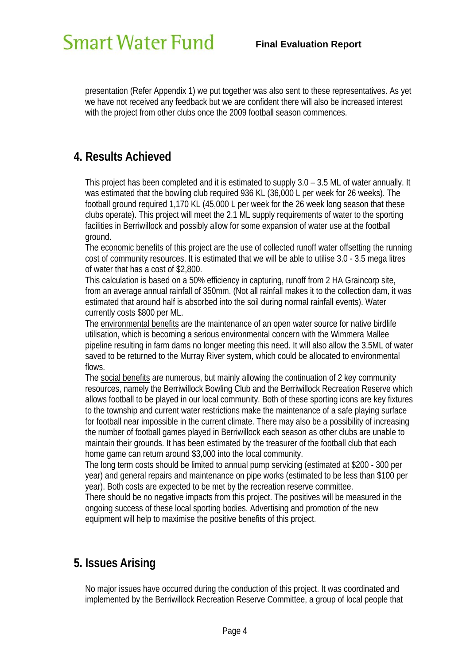presentation (Refer Appendix 1) we put together was also sent to these representatives. As yet we have not received any feedback but we are confident there will also be increased interest with the project from other clubs once the 2009 football season commences.

### **4. Results Achieved**

This project has been completed and it is estimated to supply 3.0 – 3.5 ML of water annually. It was estimated that the bowling club required 936 KL (36,000 L per week for 26 weeks). The football ground required 1,170 KL (45,000 L per week for the 26 week long season that these clubs operate). This project will meet the 2.1 ML supply requirements of water to the sporting facilities in Berriwillock and possibly allow for some expansion of water use at the football ground.

The economic benefits of this project are the use of collected runoff water offsetting the running cost of community resources. It is estimated that we will be able to utilise 3.0 - 3.5 mega litres of water that has a cost of \$2,800.

This calculation is based on a 50% efficiency in capturing, runoff from 2 HA Graincorp site, from an average annual rainfall of 350mm. (Not all rainfall makes it to the collection dam, it was estimated that around half is absorbed into the soil during normal rainfall events). Water currently costs \$800 per ML.

The environmental benefits are the maintenance of an open water source for native birdlife utilisation, which is becoming a serious environmental concern with the Wimmera Mallee pipeline resulting in farm dams no longer meeting this need. It will also allow the 3.5ML of water saved to be returned to the Murray River system, which could be allocated to environmental flows.

The social benefits are numerous, but mainly allowing the continuation of 2 key community resources, namely the Berriwillock Bowling Club and the Berriwillock Recreation Reserve which allows football to be played in our local community. Both of these sporting icons are key fixtures to the township and current water restrictions make the maintenance of a safe playing surface for football near impossible in the current climate. There may also be a possibility of increasing the number of football games played in Berriwillock each season as other clubs are unable to maintain their grounds. It has been estimated by the treasurer of the football club that each home game can return around \$3,000 into the local community.

The long term costs should be limited to annual pump servicing (estimated at \$200 - 300 per year) and general repairs and maintenance on pipe works (estimated to be less than \$100 per year). Both costs are expected to be met by the recreation reserve committee.

There should be no negative impacts from this project. The positives will be measured in the ongoing success of these local sporting bodies. Advertising and promotion of the new equipment will help to maximise the positive benefits of this project.

### **5. Issues Arising**

No major issues have occurred during the conduction of this project. It was coordinated and implemented by the Berriwillock Recreation Reserve Committee, a group of local people that